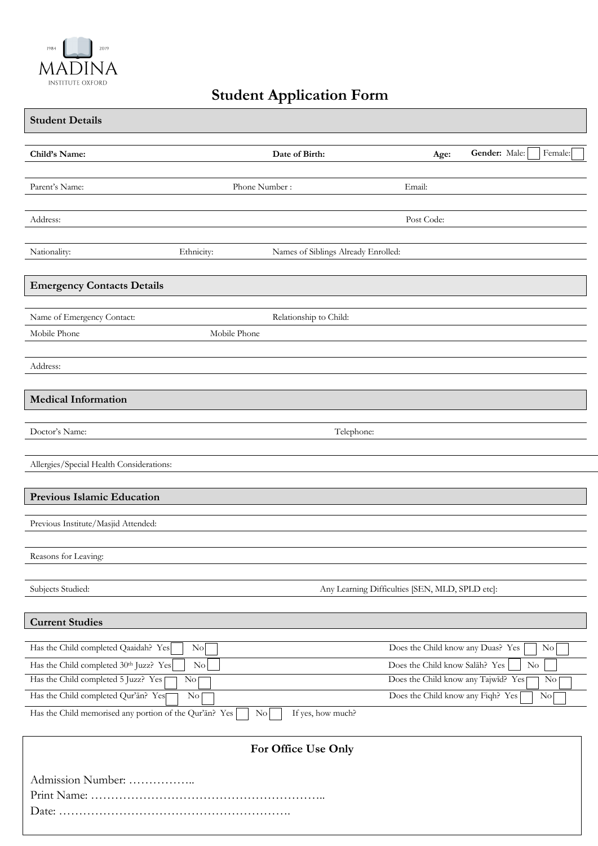

## **Student Application Form**

| <b>Student Details</b>                                                                                                  |                                        |                                                                       |               |                              |
|-------------------------------------------------------------------------------------------------------------------------|----------------------------------------|-----------------------------------------------------------------------|---------------|------------------------------|
| Child's Name:                                                                                                           | Date of Birth:                         | Age:                                                                  | Gender: Male: | Female:                      |
| Parent's Name:                                                                                                          | Phone Number:                          | Email:                                                                |               |                              |
| Address:                                                                                                                |                                        | Post Code:                                                            |               |                              |
| Ethnicity:<br>Nationality:                                                                                              | Names of Siblings Already Enrolled:    |                                                                       |               |                              |
| <b>Emergency Contacts Details</b>                                                                                       |                                        |                                                                       |               |                              |
| Name of Emergency Contact:<br>Mobile Phone                                                                              | Relationship to Child:<br>Mobile Phone |                                                                       |               |                              |
| Address:                                                                                                                |                                        |                                                                       |               |                              |
| <b>Medical Information</b>                                                                                              |                                        |                                                                       |               |                              |
| Doctor's Name:                                                                                                          | Telephone:                             |                                                                       |               |                              |
| Allergies/Special Health Considerations:                                                                                |                                        |                                                                       |               |                              |
| Previous Islamic Education                                                                                              |                                        |                                                                       |               |                              |
| Previous Institute/Masjid Attended:                                                                                     |                                        |                                                                       |               |                              |
| Reasons for Leaving:                                                                                                    |                                        |                                                                       |               |                              |
| Subjects Studied:                                                                                                       |                                        | Any Learning Difficulties [SEN, MLD, SPLD etc]:                       |               |                              |
| <b>Current Studies</b>                                                                                                  |                                        |                                                                       |               |                              |
| Has the Child completed Qaaidah? Yes<br>$\overline{N_{0}}$                                                              |                                        | Does the Child know any Duas? Yes                                     |               | No                           |
| Has the Child completed 30th Juzz? Yes<br>Has the Child completed 5 Juzz? Yes<br>No <sub>1</sub>                        | $\rm No$                               | Does the Child know Salah? Yes<br>Does the Child know any Tajwid? Yes |               | $\rm No$<br>$\overline{N_0}$ |
| Has the Child completed Qur'an? Yes<br>$\overline{\text{No}}$<br>Has the Child memorised any portion of the Qur'an? Yes | If yes, how much?<br>N <sub>o</sub>    | Does the Child know any Fiqh? Yes                                     |               | No                           |
|                                                                                                                         | For Office Use Only                    |                                                                       |               |                              |
| Admission Number:                                                                                                       |                                        |                                                                       |               |                              |